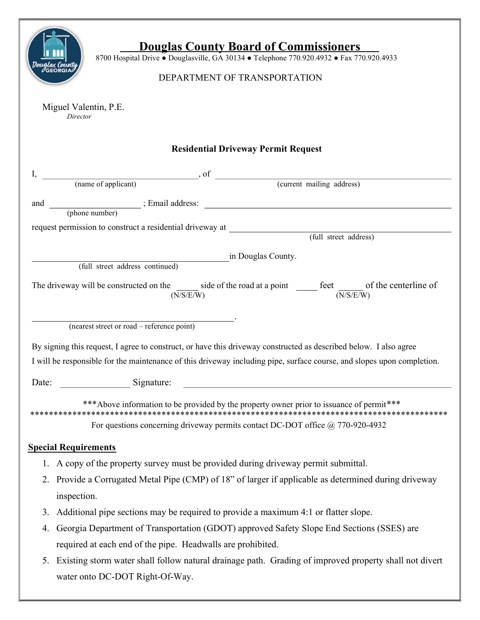| <b>Douglas County Board of Commissioners</b><br>8700 Hospital Drive . Douglasville, GA 30134 . Telephone 770.920.4932 . Fax 770.920.4933<br>ualas Counti<br><b>GEORGIA</b><br>DEPARTMENT OF TRANSPORTATION |  |  |  |  |  |  |
|------------------------------------------------------------------------------------------------------------------------------------------------------------------------------------------------------------|--|--|--|--|--|--|
| Miguel Valentin, P.E.<br>Director                                                                                                                                                                          |  |  |  |  |  |  |
| <b>Residential Driveway Permit Request</b>                                                                                                                                                                 |  |  |  |  |  |  |
|                                                                                                                                                                                                            |  |  |  |  |  |  |
|                                                                                                                                                                                                            |  |  |  |  |  |  |
|                                                                                                                                                                                                            |  |  |  |  |  |  |
|                                                                                                                                                                                                            |  |  |  |  |  |  |
| request permission to construct a residential driveway at (full street address)                                                                                                                            |  |  |  |  |  |  |
|                                                                                                                                                                                                            |  |  |  |  |  |  |
| in Douglas County.<br>(full street address continued)                                                                                                                                                      |  |  |  |  |  |  |
| The driveway will be constructed on the same side of the road at a point same feet same of the centerline of<br>(N/S/E/W)<br>(N/S/E/W)                                                                     |  |  |  |  |  |  |
| (nearest street or road – reference point)                                                                                                                                                                 |  |  |  |  |  |  |
| By signing this request, I agree to construct, or have this driveway constructed as described below. I also agree                                                                                          |  |  |  |  |  |  |
| I will be responsible for the maintenance of this driveway including pipe, surface course, and slopes upon completion.                                                                                     |  |  |  |  |  |  |
| Signature:<br>Date:                                                                                                                                                                                        |  |  |  |  |  |  |
| *** Above information to be provided by the property owner prior to issuance of permit***                                                                                                                  |  |  |  |  |  |  |
| For questions concerning driveway permits contact DC-DOT office @ 770-920-4932                                                                                                                             |  |  |  |  |  |  |
| <b>Special Requirements</b>                                                                                                                                                                                |  |  |  |  |  |  |
| 1. A copy of the property survey must be provided during driveway permit submittal.                                                                                                                        |  |  |  |  |  |  |
| 2. Provide a Corrugated Metal Pipe (CMP) of 18" of larger if applicable as determined during driveway                                                                                                      |  |  |  |  |  |  |
| inspection.                                                                                                                                                                                                |  |  |  |  |  |  |
| Additional pipe sections may be required to provide a maximum 4:1 or flatter slope.<br>3.                                                                                                                  |  |  |  |  |  |  |
| Georgia Department of Transportation (GDOT) approved Safety Slope End Sections (SSES) are<br>4.                                                                                                            |  |  |  |  |  |  |
| required at each end of the pipe. Headwalls are prohibited.                                                                                                                                                |  |  |  |  |  |  |
| 5. Existing storm water shall follow natural drainage path. Grading of improved property shall not divert                                                                                                  |  |  |  |  |  |  |
| water onto DC-DOT Right-Of-Way.                                                                                                                                                                            |  |  |  |  |  |  |